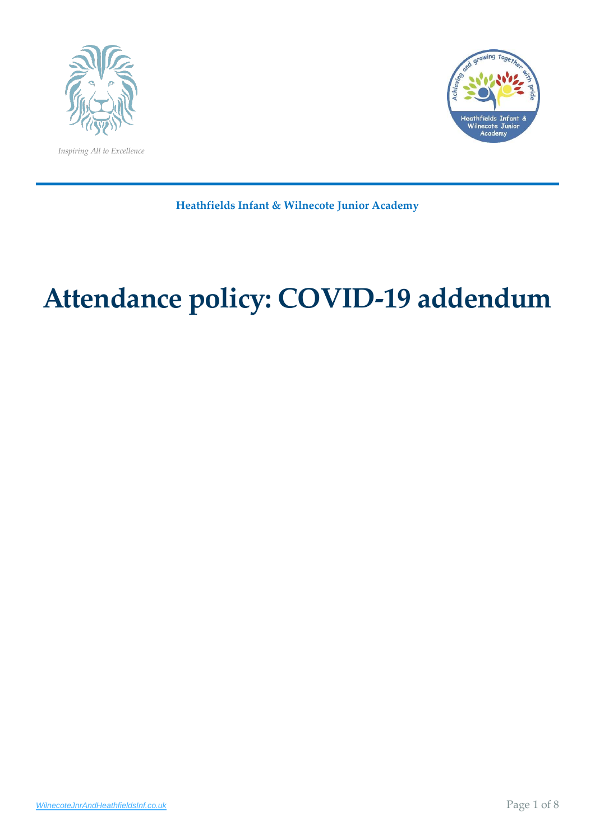

*Inspiring All to Excellence*



**Heathfields Infant & Wilnecote Junior Academy**

# **Attendance policy: COVID-19 addendum**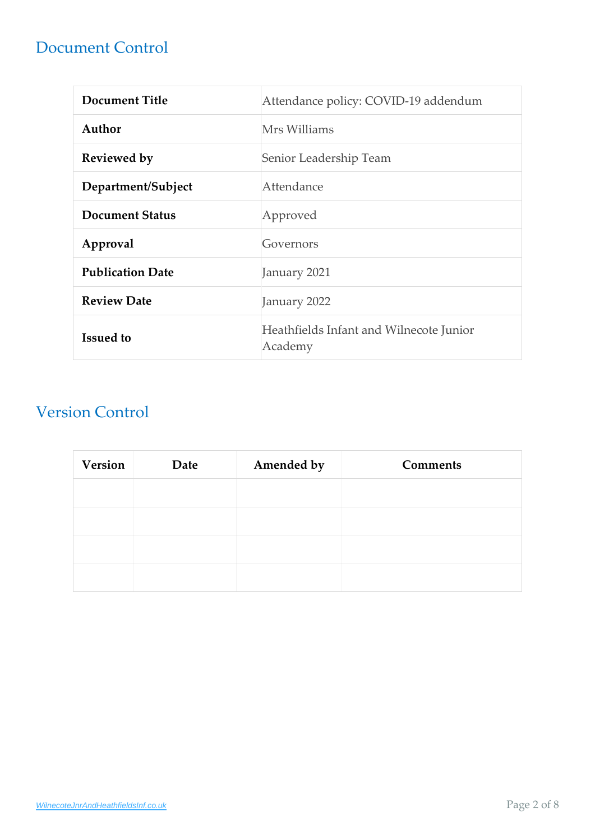#### Document Control

| <b>Document Title</b>   | Attendance policy: COVID-19 addendum               |  |
|-------------------------|----------------------------------------------------|--|
| Author                  | Mrs Williams                                       |  |
| Reviewed by             | Senior Leadership Team                             |  |
| Department/Subject      | Attendance                                         |  |
| <b>Document Status</b>  | Approved                                           |  |
| Approval                | Governors                                          |  |
| <b>Publication Date</b> | January 2021                                       |  |
| <b>Review Date</b>      | January 2022                                       |  |
| <b>Issued to</b>        | Heathfields Infant and Wilnecote Junior<br>Academy |  |

#### Version Control

| Version | Date | Amended by | <b>Comments</b> |
|---------|------|------------|-----------------|
|         |      |            |                 |
|         |      |            |                 |
|         |      |            |                 |
|         |      |            |                 |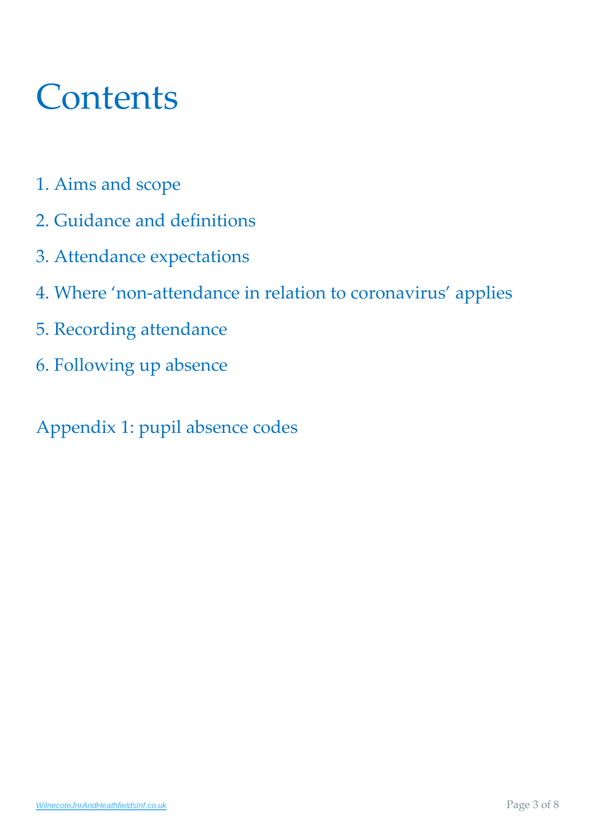# **Contents**

- 1. Aims and scope
- 2. Guidance and definitions
- 3. Attendance expectations
- 4. Where 'non-attendance in relation to coronavirus' applies
- 5. Recording attendance
- 6. Following up absence

Appendix 1: pupil absence codes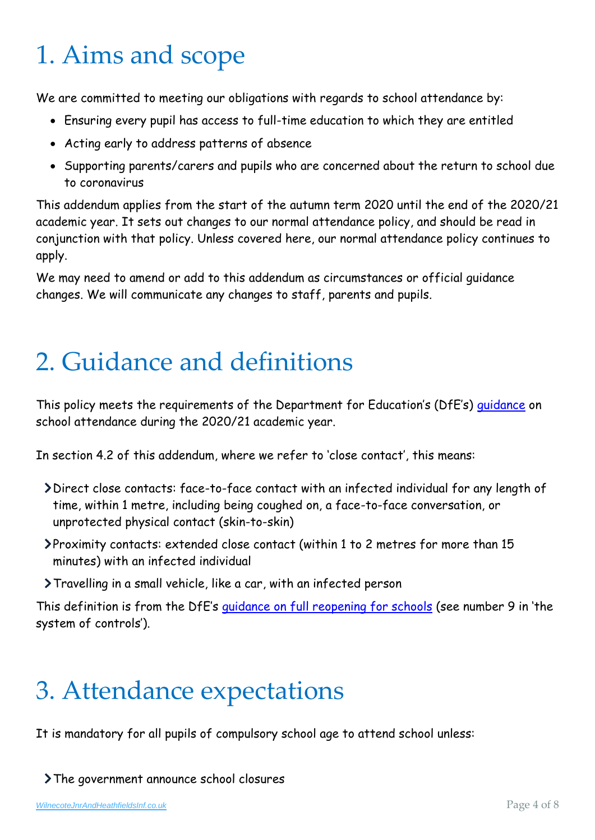### 1. Aims and scope

We are committed to meeting our obligations with regards to school attendance by:

- Ensuring every pupil has access to full-time education to which they are entitled
- Acting early to address patterns of absence
- Supporting parents/carers and pupils who are concerned about the return to school due to coronavirus

This addendum applies from the start of the autumn term 2020 until the end of the 2020/21 academic year. It sets out changes to our normal attendance policy, and should be read in conjunction with that policy. Unless covered here, our normal attendance policy continues to apply.

We may need to amend or add to this addendum as circumstances or official guidance changes. We will communicate any changes to staff, parents and pupils.

### 2. Guidance and definitions

This policy meets the requirements of the Department for Education's (DfE's) quidance on school attendance during the 2020/21 academic year.

In section 4.2 of this addendum, where we refer to 'close contact', this means:

- Direct close contacts: face-to-face contact with an infected individual for any length of time, within 1 metre, including being coughed on, a face-to-face conversation, or unprotected physical contact (skin-to-skin)
- Proximity contacts: extended close contact (within 1 to 2 metres for more than 15 minutes) with an infected individual
- Travelling in a small vehicle, like a car, with an infected person

This definition is from the DfE's [guidance on full reopening for schools](https://www.gov.uk/government/publications/actions-for-schools-during-the-coronavirus-outbreak/guidance-for-full-opening-schools) (see number 9 in 'the system of controls').

## 3. Attendance expectations

It is mandatory for all pupils of compulsory school age to attend school unless:

#### The government announce school closures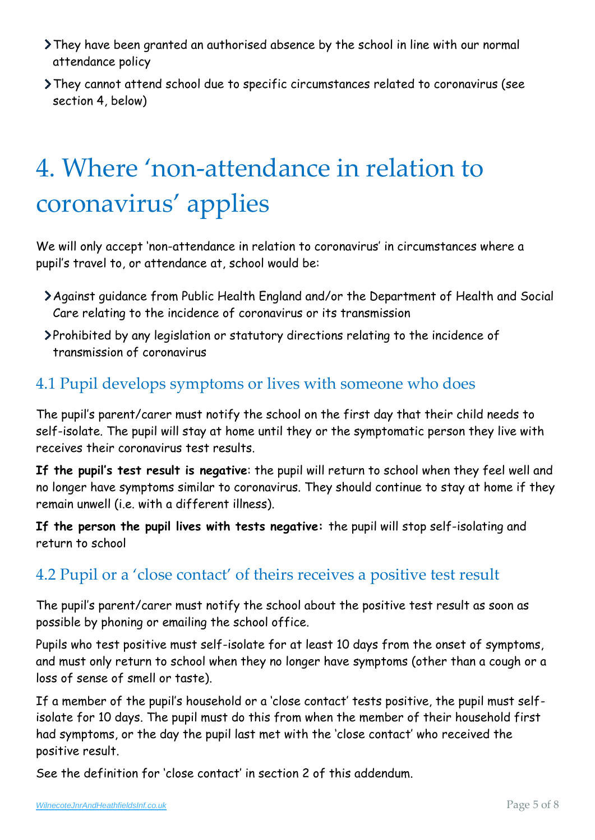- They have been granted an authorised absence by the school in line with our normal attendance policy
- They cannot attend school due to specific circumstances related to coronavirus (see section 4, below)

# 4. Where 'non-attendance in relation to coronavirus' applies

We will only accept 'non-attendance in relation to coronavirus' in circumstances where a pupil's travel to, or attendance at, school would be:

- Against guidance from Public Health England and/or the Department of Health and Social Care relating to the incidence of coronavirus or its transmission
- Prohibited by any legislation or statutory directions relating to the incidence of transmission of coronavirus

#### 4.1 Pupil develops symptoms or lives with someone who does

The pupil's parent/carer must notify the school on the first day that their child needs to self-isolate. The pupil will stay at home until they or the symptomatic person they live with receives their coronavirus test results.

**If the pupil's test result is negative**: the pupil will return to school when they feel well and no longer have symptoms similar to coronavirus. They should continue to stay at home if they remain unwell (i.e. with a different illness).

**If the person the pupil lives with tests negative:** the pupil will stop self-isolating and return to school

#### 4.2 Pupil or a 'close contact' of theirs receives a positive test result

The pupil's parent/carer must notify the school about the positive test result as soon as possible by phoning or emailing the school office.

Pupils who test positive must self-isolate for at least 10 days from the onset of symptoms, and must only return to school when they no longer have symptoms (other than a cough or a loss of sense of smell or taste).

If a member of the pupil's household or a 'close contact' tests positive, the pupil must selfisolate for 10 days. The pupil must do this from when the member of their household first had symptoms, or the day the pupil last met with the 'close contact' who received the positive result.

See the definition for 'close contact' in section 2 of this addendum.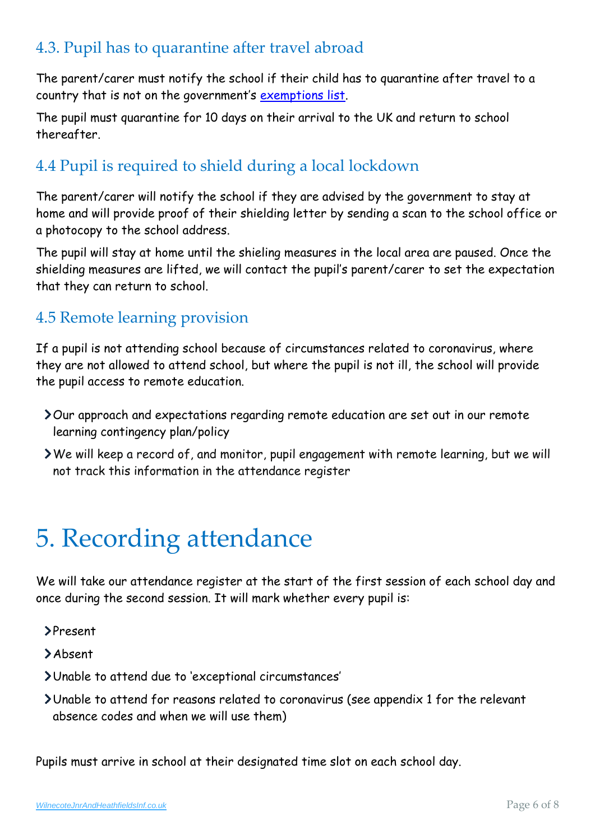#### 4.3. Pupil has to quarantine after travel abroad

The parent/carer must notify the school if their child has to quarantine after travel to a country that is not on the government's [exemptions list.](https://www.gov.uk/guidance/coronavirus-covid-19-travel-corridors#countries-and-territories-with-no-self-isolation-requirement-on-arrival-in-england)

The pupil must quarantine for 10 days on their arrival to the UK and return to school thereafter.

#### 4.4 Pupil is required to shield during a local lockdown

The parent/carer will notify the school if they are advised by the government to stay at home and will provide proof of their shielding letter by sending a scan to the school office or a photocopy to the school address.

The pupil will stay at home until the shieling measures in the local area are paused. Once the shielding measures are lifted, we will contact the pupil's parent/carer to set the expectation that they can return to school.

#### 4.5 Remote learning provision

If a pupil is not attending school because of circumstances related to coronavirus, where they are not allowed to attend school, but where the pupil is not ill, the school will provide the pupil access to remote education.

- Our approach and expectations regarding remote education are set out in our remote learning contingency plan/policy
- We will keep a record of, and monitor, pupil engagement with remote learning, but we will not track this information in the attendance register

### 5. Recording attendance

We will take our attendance register at the start of the first session of each school day and once during the second session. It will mark whether every pupil is:

Present

Absent

- Unable to attend due to 'exceptional circumstances'
- Unable to attend for reasons related to coronavirus (see appendix 1 for the relevant absence codes and when we will use them)

Pupils must arrive in school at their designated time slot on each school day.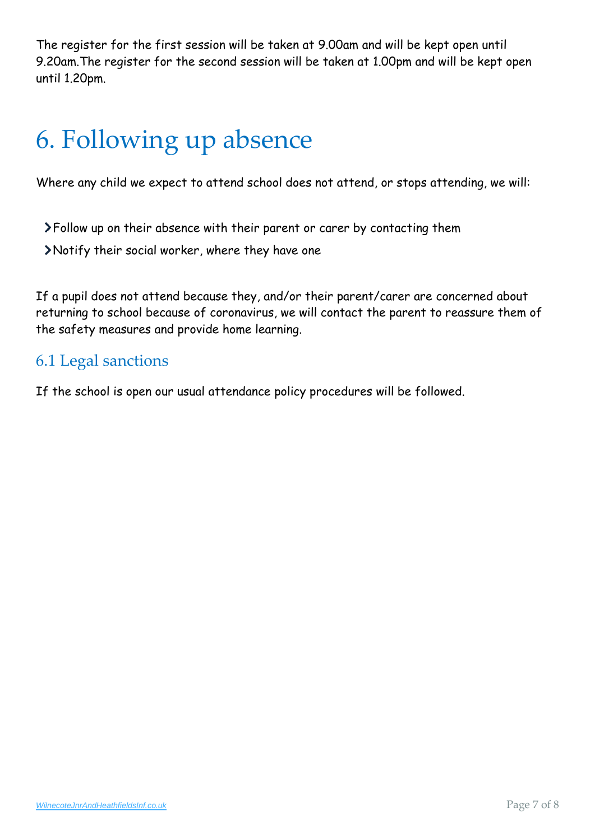The register for the first session will be taken at 9.00am and will be kept open until 9.20am.The register for the second session will be taken at 1.00pm and will be kept open until 1.20pm.

## 6. Following up absence

Where any child we expect to attend school does not attend, or stops attending, we will:

Follow up on their absence with their parent or carer by contacting them

Notify their social worker, where they have one

If a pupil does not attend because they, and/or their parent/carer are concerned about returning to school because of coronavirus, we will contact the parent to reassure them of the safety measures and provide home learning.

#### 6.1 Legal sanctions

If the school is open our usual attendance policy procedures will be followed.